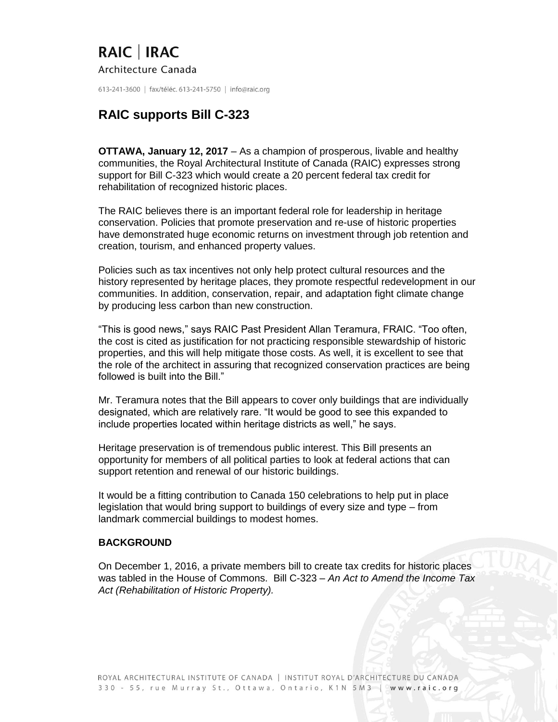# **RAIC | IRAC**

Architecture Canada

613-241-3600 | fax/téléc. 613-241-5750 | info@raic.org

## **RAIC supports Bill C-323**

**OTTAWA, January 12, 2017** – As a champion of prosperous, livable and healthy communities, the Royal Architectural Institute of Canada (RAIC) expresses strong support for Bill C-323 which would create a 20 percent federal tax credit for rehabilitation of recognized historic places.

The RAIC believes there is an important federal role for leadership in heritage conservation. Policies that promote preservation and re-use of historic properties have demonstrated huge economic returns on investment through job retention and creation, tourism, and enhanced property values.

Policies such as tax incentives not only help protect cultural resources and the history represented by heritage places, they promote respectful redevelopment in our communities. In addition, conservation, repair, and adaptation fight climate change by producing less carbon than new construction.

"This is good news," says RAIC Past President Allan Teramura, FRAIC. "Too often, the cost is cited as justification for not practicing responsible stewardship of historic properties, and this will help mitigate those costs. As well, it is excellent to see that the role of the architect in assuring that recognized conservation practices are being followed is built into the Bill."

Mr. Teramura notes that the Bill appears to cover only buildings that are individually designated, which are relatively rare. "It would be good to see this expanded to include properties located within heritage districts as well," he says.

Heritage preservation is of tremendous public interest. This Bill presents an opportunity for members of all political parties to look at federal actions that can support retention and renewal of our historic buildings.

It would be a fitting contribution to Canada 150 celebrations to help put in place legislation that would bring support to buildings of every size and type – from landmark commercial buildings to modest homes.

#### **BACKGROUND**

On December 1, 2016, a private members bill to create tax credits for historic places was tabled in the House of Commons. Bill C-323 – *An Act to Amend the Income Tax Act (Rehabilitation of Historic Property).*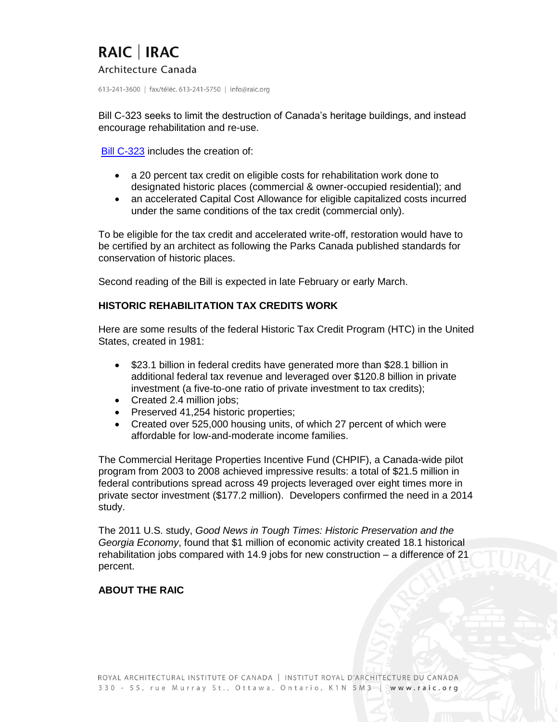# **RAIC | IRAC**

#### Architecture Canada

613-241-3600 | fax/téléc. 613-241-5750 | info@raic.org

Bill C-323 seeks to limit the destruction of Canada's heritage buildings, and instead encourage rehabilitation and re-use.

[Bill C-323](http://www.parl.gc.ca/content/hoc/Bills/421/Private/C-323/C-323_1/C-323_1.PDF) includes the creation of:

- a 20 percent tax credit on eligible costs for rehabilitation work done to designated historic places (commercial & owner-occupied residential); and
- an accelerated Capital Cost Allowance for eligible capitalized costs incurred under the same conditions of the tax credit (commercial only).

To be eligible for the tax credit and accelerated write-off, restoration would have to be certified by an architect as following the Parks Canada published standards for conservation of historic places.

Second reading of the Bill is expected in late February or early March.

### **HISTORIC REHABILITATION TAX CREDITS WORK**

Here are some results of the federal Historic Tax Credit Program (HTC) in the United States, created in 1981:

- \$23.1 billion in federal credits have generated more than \$28.1 billion in additional federal tax revenue and leveraged over \$120.8 billion in private investment (a five-to-one ratio of private investment to tax credits);
- Created 2.4 million jobs;
- Preserved 41,254 historic properties;
- Created over 525,000 housing units, of which 27 percent of which were affordable for low-and-moderate income families.

The Commercial Heritage Properties Incentive Fund (CHPIF), a Canada-wide pilot program from 2003 to 2008 achieved impressive results: a total of \$21.5 million in federal contributions spread across 49 projects leveraged over eight times more in private sector investment (\$177.2 million). Developers confirmed the need in a 2014 study.

The 2011 U.S. study, *Good News in Tough Times: Historic Preservation and the Georgia Economy*, found that \$1 million of economic activity created 18.1 historical rehabilitation jobs compared with 14.9 jobs for new construction – a difference of 21 percent.

### **ABOUT THE RAIC**